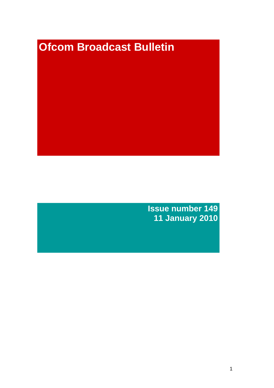# **Ofcom Broadcast Bulletin**

**Issue number 149 11 January 2010**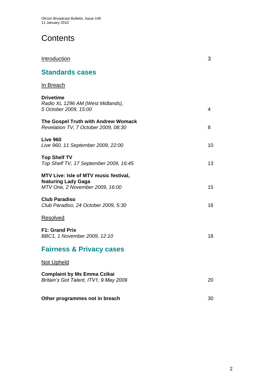# **Contents**

| Introduction                                                                                    | 3  |
|-------------------------------------------------------------------------------------------------|----|
| <b>Standards cases</b>                                                                          |    |
| In Breach                                                                                       |    |
| <b>Drivetime</b><br>Radio XL 1296 AM (West Midlands),<br>5 October 2009, 15:00                  | 4  |
| The Gospel Truth with Andrew Womack<br>Revelation TV, 7 October 2009, 08:30                     | 8  |
| <b>Live 960</b><br>Live 960, 11 September 2009, 22:00                                           | 10 |
| <b>Top Shelf TV</b><br>Top Shelf TV, 17 September 2009, 16:45                                   | 13 |
| MTV Live: Isle of MTV music festival,<br>featuring Lady Gaga<br>MTV One, 2 November 2009, 16:00 | 15 |
| <b>Club Paradiso</b><br>Club Paradiso, 24 October 2009, 5:30                                    | 16 |
| <b>Resolved</b>                                                                                 |    |
| <b>F1: Grand Prix</b><br>BBC1, 1 November 2009, 12:10                                           | 18 |
| <b>Fairness &amp; Privacy cases</b>                                                             |    |
| <b>Not Upheld</b>                                                                               |    |
| <b>Complaint by Ms Emma Czikai</b><br>Britain's Got Talent, ITV1, 9 May 2009                    | 20 |
| Other programmes not in breach                                                                  | 30 |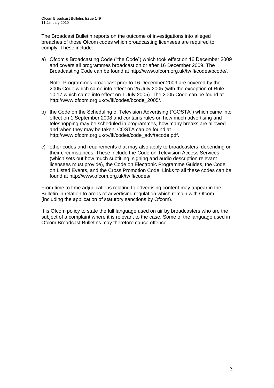The Broadcast Bulletin reports on the outcome of investigations into alleged breaches of those Ofcom codes which broadcasting licensees are required to comply. These include:

a) Ofcom's Broadcasting Code ("the Code") which took effect on 16 December 2009 and covers all programmes broadcast on or after 16 December 2009. The Broadcasting Code can be found at http://www.ofcom.org.uk/tv/ifi/codes/bcode/.

Note: Programmes broadcast prior to 16 December 2009 are covered by the 2005 Code which came into effect on 25 July 2005 (with the exception of Rule 10.17 which came into effect on 1 July 2005). The 2005 Code can be found at http://www.ofcom.org.uk/tv/ifi/codes/bcode\_2005/.

- b) the Code on the Scheduling of Television Advertising ("COSTA") which came into effect on 1 September 2008 and contains rules on how much advertising and teleshopping may be scheduled in programmes, how many breaks are allowed and when they may be taken. COSTA can be found at [http://www.ofcom.org.uk/tv/ifi/codes/code\\_adv/tacode.pdf.](http://www.ofcom.org.uk/tv/ifi/codes/code_adv/tacode.pdf)
- c) other codes and requirements that may also apply to broadcasters, depending on their circumstances. These include the Code on Television Access Services (which sets out how much subtitling, signing and audio description relevant licensees must provide), the Code on Electronic Programme Guides, the Code on Listed Events, and the Cross Promotion Code. Links to all these codes can be found at http://www.ofcom.org.uk/tv/ifi/codes/

From time to time adjudications relating to advertising content may appear in the Bulletin in relation to areas of advertising regulation which remain with Ofcom (including the application of statutory sanctions by Ofcom).

It is Ofcom policy to state the full language used on air by broadcasters who are the subject of a complaint where it is relevant to the case. Some of the language used in Ofcom Broadcast Bulletins may therefore cause offence.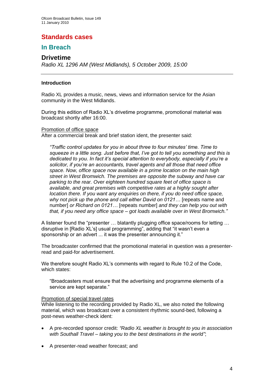## **Standards cases**

## **In Breach**

## **Drivetime**

*Radio XL 1296 AM (West Midlands), 5 October 2009, 15:00*

## **Introduction**

Radio XL provides a music, news, views and information service for the Asian community in the West Midlands.

During this edition of Radio XL's drivetime programme, promotional material was broadcast shortly after 16:00.

## Promotion of office space

After a commercial break and brief station ident, the presenter said:

*"Traffic control updates for you in about three to four minutes' time. Time to squeeze in a little song. Just before that, I've got to tell you something and this is dedicated to you. In fact it's special attention to everybody, especially if you're a solicitor, if you're an accountants, travel agents and all those that need office space. Now, office space now available in a prime location on the main high street in West Bromwich. The premises are opposite the subway and have car parking to the rear. Over eighteen hundred square feet of office space is available, and great premises with competitive rates at a highly sought after location there. If you want any enquiries on there, if you do need office space, why not pick up the phone and call either David on 0121…* [repeats name and number] *or Richard on 0121…* [repeats number] *and they can help you out with that, if you need any office space – got loads available over in West Bromwich."*

A listener found the "presenter … blatantly plugging office space/rooms for letting … disruptive in [Radio XL's] usual programming", adding that "it wasn't even a sponsorship or an advert ... it was the presenter announcing it."

The broadcaster confirmed that the promotional material in question was a presenterread and paid-for advertisement.

We therefore sought Radio XL's comments with regard to Rule 10.2 of the Code, which states:

"Broadcasters must ensure that the advertising and programme elements of a service are kept separate."

### Promotion of special travel rates

While listening to the recording provided by Radio XL, we also noted the following material, which was broadcast over a consistent rhythmic sound-bed, following a post-news weather-check ident:

- A pre-recorded sponsor credit: *"Radio XL weather is brought to you in association with Southall Travel – taking you to the best destinations in the world"*;
- A presenter-read weather forecast; and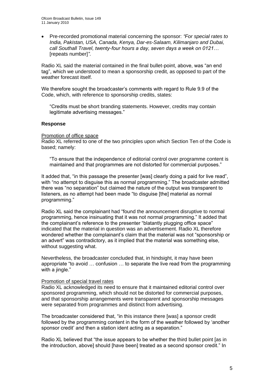• Pre-recorded promotional material concerning the sponsor: *"For special rates to India, Pakistan, USA, Canada, Kenya, Dar-es-Salaam, Kilimanjaro and Dubai, call Southall Travel, twenty-four hours a day, seven days a week on 0121…* [repeats number]*"*.

Radio XL said the material contained in the final bullet-point, above, was "an end tag", which we understood to mean a sponsorship credit, as opposed to part of the weather forecast itself.

We therefore sought the broadcaster's comments with regard to Rule 9.9 of the Code, which, with reference to sponsorship credits, states:

"Credits must be short branding statements. However, credits may contain legitimate advertising messages."

### **Response**

### Promotion of office space

Radio XL referred to one of the two principles upon which Section Ten of the Code is based; namely:

"To ensure that the independence of editorial control over programme content is maintained and that programmes are not distorted for commercial purposes."

It added that, "in this passage the presenter [was] clearly doing a paid for live read", with "no attempt to disguise this as normal programming." The broadcaster admitted there was "no separation" but claimed the nature of the output was transparent to listeners, as no attempt had been made "to disguise [the] material as normal programming."

Radio XL said the complainant had "found the announcement disruptive to normal programming, hence insinuating that it was not normal programming." It added that the complainant's reference to the presenter "blatantly plugging office space" indicated that the material in question was an advertisement. Radio XL therefore wondered whether the complainant's claim that the material was not "sponsorship or an advert" was contradictory, as it implied that the material was something else, without suggesting what.

Nevertheless, the broadcaster concluded that, in hindsight, it may have been appropriate "to avoid … confusion … to separate the live read from the programming with a jingle."

### Promotion of special travel rates

Radio XL acknowledged its need to ensure that it maintained editorial control over sponsored programming, which should not be distorted for commercial purposes, and that sponsorship arrangements were transparent and sponsorship messages were separated from programmes and distinct from advertising.

The broadcaster considered that, "in this instance there [was] a sponsor credit followed by the programming content in the form of the weather followed by 'another sponsor credit' and then a station ident acting as a separation."

Radio XL believed that "the issue appears to be whether the third bullet point [as in the introduction, above] should [have been] treated as a second sponsor credit." In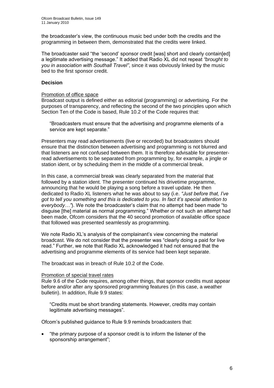the broadcaster's view, the continuous music bed under both the credits and the programming in between them, demonstrated that the credits were linked.

The broadcaster said "the 'second' sponsor credit [was] short and clearly contain[ed] a legitimate advertising message." It added that Radio XL did not repeat *"brought to you in association with Southall Travel"*, since it was obviously linked by the music bed to the first sponsor credit.

## **Decision**

### Promotion of office space

Broadcast output is defined either as editorial (programming) or advertising. For the purposes of transparency, and reflecting the second of the two principles upon which Section Ten of the Code is based, Rule 10.2 of the Code requires that:

"Broadcasters must ensure that the advertising and programme elements of a service are kept separate."

Presenters may read advertisements (live or recorded) but broadcasters should ensure that the distinction between advertising and programming is not blurred and that listeners are not confused between them. It is therefore advisable for presenterread advertisements to be separated from programming by, for example, a jingle or station ident, or by scheduling them in the middle of a commercial break.

In this case, a commercial break was clearly separated from the material that followed by a station ident. The presenter continued his drivetime programme, announcing that he would be playing a song before a travel update. He then dedicated to Radio XL listeners what he was about to say (i.e. *"Just before that, I've got to tell you something and this is dedicated to you. In fact it's special attention to everybody…"*). We note the broadcaster's claim that no attempt had been made "to disguise [the] material as normal programming." Whether or not such an attempt had been made, Ofcom considers that the 40 second promotion of available office space that followed was presented seamlessly as programming.

We note Radio XL's analysis of the complainant's view concerning the material broadcast. We do not consider that the presenter was "clearly doing a paid for live read." Further, we note that Radio XL acknowledged it had not ensured that the advertising and programme elements of its service had been kept separate.

The broadcast was in breach of Rule 10.2 of the Code.

### Promotion of special travel rates

Rule 9.6 of the Code requires, among other things, that sponsor credits must appear before and/or after any sponsored programming features (in this case, a weather bulletin). In addition, Rule 9.9 states:

"Credits must be short branding statements. However, credits may contain legitimate advertising messages".

Ofcom's published guidance to Rule 9.9 reminds broadcasters that:

• "the primary purpose of a sponsor credit is to inform the listener of the sponsorship arrangement";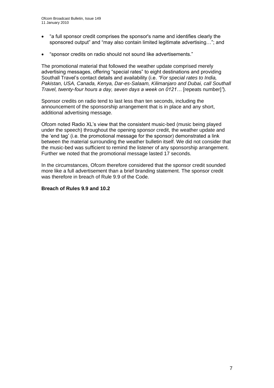- "a full sponsor credit comprises the sponsor's name and identifies clearly the sponsored output" and "may also contain limited legitimate advertising…"; and
- "sponsor credits on radio should not sound like advertisements."

The promotional material that followed the weather update comprised merely advertising messages, offering "special rates" to eight destinations and providing Southall Travel's contact details and availability (i.e. *"For special rates to India, Pakistan, USA, Canada, Kenya, Dar-es-Salaam, Kilimanjaro and Dubai, call Southall Travel, twenty-four hours a day, seven days a week on 0121…* [repeats number]*"*).

Sponsor credits on radio tend to last less than ten seconds, including the announcement of the sponsorship arrangement that is in place and any short, additional advertising message.

Ofcom noted Radio XL's view that the consistent music-bed (music being played under the speech) throughout the opening sponsor credit, the weather update and the 'end tag' (i.e. the promotional message for the sponsor) demonstrated a link between the material surrounding the weather bulletin itself. We did not consider that the music-bed was sufficient to remind the listener of any sponsorship arrangement. Further we noted that the promotional message lasted 17 seconds.

In the circumstances, Ofcom therefore considered that the sponsor credit sounded more like a full advertisement than a brief branding statement. The sponsor credit was therefore in breach of Rule 9.9 of the Code.

### **Breach of Rules 9.9 and 10.2**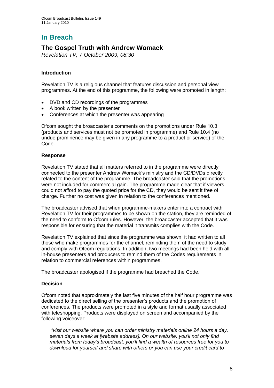# **In Breach**

## **The Gospel Truth with Andrew Womack**

*Revelation TV, 7 October 2009, 08:30*

## **Introduction**

Revelation TV is a religious channel that features discussion and personal view programmes. At the end of this programme, the following were promoted in length:

- DVD and CD recordings of the programmes
- A book written by the presenter
- Conferences at which the presenter was appearing

Ofcom sought the broadcaster's comments on the promotions under Rule 10.3 (products and services must not be promoted in programme) and Rule 10.4 (no undue prominence may be given in any programme to a product or service) of the Code.

## **Response**

Revelation TV stated that all matters referred to in the programme were directly connected to the presenter Andrew Womack's ministry and the CD/DVDs directly related to the content of the programme. The broadcaster said that the promotions were not included for commercial gain. The programme made clear that if viewers could not afford to pay the quoted price for the CD, they would be sent it free of charge. Further no cost was given in relation to the conferences mentioned.

The broadcaster advised that when programme-makers enter into a contract with Revelation TV for their programmes to be shown on the station, they are reminded of the need to conform to Ofcom rules. However, the broadcaster accepted that it was responsible for ensuring that the material it transmits complies with the Code.

Revelation TV explained that since the programme was shown, it had written to all those who make programmes for the channel, reminding them of the need to study and comply with Ofcom regulations. In addition, two meetings had been held with all in-house presenters and producers to remind them of the Codes requirements in relation to commercial references within programmes.

The broadcaster apologised if the programme had breached the Code.

## **Decision**

Ofcom noted that approximately the last five minutes of the half hour programme was dedicated to the direct selling of the presenter's products and the promotion of conferences. The products were promoted in a style and format usually associated with teleshopping. Products were displayed on screen and accompanied by the following voiceover:

*"visit our website where you can order ministry materials online 24 hours a day, seven days a week at [website address]. On our website, you'll not only find materials from today's broadcast, you'll find a wealth of resources free for you to download for yourself and share with others or you can use your credit card to*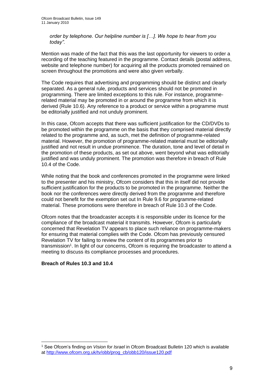*order by telephone. Our helpline number is […]. We hope to hear from you today".*

Mention was made of the fact that this was the last opportunity for viewers to order a recording of the teaching featured in the programme. Contact details (postal address, website and telephone number) for acquiring all the products promoted remained on screen throughout the promotions and were also given verbally.

The Code requires that advertising and programming should be distinct and clearly separated. As a general rule, products and services should not be promoted in programming. There are limited exceptions to this rule. For instance, programmerelated material may be promoted in or around the programme from which it is derived (Rule 10.6). Any reference to a product or service within a programme must be editorially justified and not unduly prominent.

In this case, Ofcom accepts that there was sufficient justification for the CD/DVDs to be promoted within the programme on the basis that they comprised material directly related to the programme and, as such, met the definition of programme-related material. However, the promotion of programme-related material must be editorially justified and not result in undue prominence. The duration, tone and level of detail in the promotion of these products, as set out above, went beyond what was editorially justified and was unduly prominent. The promotion was therefore in breach of Rule 10.4 of the Code.

While noting that the book and conferences promoted in the programme were linked to the presenter and his ministry, Ofcom considers that this in itself did not provide sufficient justification for the products to be promoted in the programme. Neither the book nor the conferences were directly derived from the programme and therefore could not benefit for the exemption set out In Rule 9.6 for programme-related material. These promotions were therefore in breach of Rule 10.3 of the Code.

Ofcom notes that the broadcaster accepts it is responsible under its licence for the compliance of the broadcast material it transmits. However, Ofcom is particularly concerned that Revelation TV appears to place such reliance on programme-makers for ensuring that material complies with the Code. Ofcom has previously censured Revelation TV for failing to review the content of its programmes prior to transmission<sup>1</sup>. In light of our concerns, Ofcom is requiring the broadcaster to attend a meeting to discuss its compliance processes and procedures.

## **Breach of Rules 10.3 and 10.4**

1

<sup>1</sup> See Ofcom's finding on *Vision for Israel* in Ofcom Broadcast Bulletin 120 which is available at [http://www.ofcom.org.uk/tv/obb/prog\\_cb/obb120/issue120.pdf](http://www.ofcom.org.uk/tv/obb/prog_cb/obb120/issue120.pdf)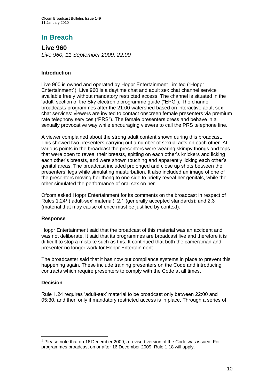# **In Breach**

**Live 960**  *Live 960, 11 September 2009, 22:00*

## **Introduction**

Live 960 is owned and operated by Hoppr Entertainment Limited ("Hoppr Entertainment"). Live 960 is a daytime chat and adult sex chat channel service available freely without mandatory restricted access. The channel is situated in the 'adult' section of the Sky electronic programme guide ("EPG"). The channel broadcasts programmes after the 21:00 watershed based on interactive adult sex chat services: viewers are invited to contact onscreen female presenters via premium rate telephony services ("PRS"). The female presenters dress and behave in a sexually provocative way while encouraging viewers to call the PRS telephone line.

A viewer complained about the strong adult content shown during this broadcast. This showed two presenters carrying out a number of sexual acts on each other. At various points in the broadcast the presenters were wearing skimpy thongs and tops that were open to reveal their breasts, spitting on each other's knickers and licking each other's breasts, and were shown touching and apparently licking each other's genital areas. The broadcast included prolonged and close up shots between the presenters' legs while simulating masturbation. It also included an image of one of the presenters moving her thong to one side to briefly reveal her genitals, while the other simulated the performance of oral sex on her.

Ofcom asked Hoppr Entertainment for its comments on the broadcast in respect of Rules 1.24<sup>1</sup> ('adult-sex' material); 2.1 (generally accepted standards); and 2.3 (material that may cause offence must be justified by context).

## **Response**

Hoppr Entertainment said that the broadcast of this material was an accident and was not deliberate. It said that its programmes are broadcast live and therefore it is difficult to stop a mistake such as this. It continued that both the cameraman and presenter no longer work for Hoppr Entertainment.

The broadcaster said that it has now put compliance systems in place to prevent this happening again. These include training presenters on the Code and introducing contracts which require presenters to comply with the Code at all times.

## **Decision**

1

Rule 1.24 requires 'adult-sex' material to be broadcast only between 22:00 and 05:30, and then only if mandatory restricted access is in place. Through a series of

<sup>1</sup> Please note that on 16 December 2009, a revised version of the Code was issued. For programmes broadcast on or after 16 December 2009, Rule 1.18 will apply.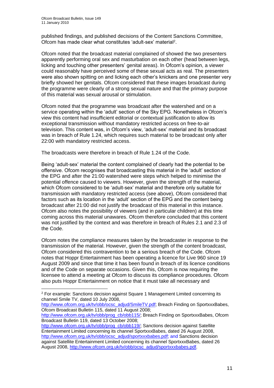1

published findings, and published decisions of the Content Sanctions Committee, Ofcom has made clear what constitutes 'adult-sex' material<sup>2</sup>.

Ofcom noted that the broadcast material complained of showed the two presenters apparently performing oral sex and masturbation on each other (head between legs, licking and touching other presenters' genital areas). In Ofcom's opinion, a viewer could reasonably have perceived some of these sexual acts as real. The presenters were also shown spitting on and licking each other's knickers and one presenter very briefly showed her genitals. Ofcom considered that these images broadcast during the programme were clearly of a strong sexual nature and that the primary purpose of this material was sexual arousal or stimulation.

Ofcom noted that the programme was broadcast after the watershed and on a service operating within the 'adult' section of the Sky EPG. Nonetheless in Ofcom's view this content had insufficient editorial or contextual justification to allow its exceptional transmission without mandatory restricted access on free-to-air television. This content was, in Ofcom's view, 'adult-sex' material and its broadcast was in breach of Rule 1.24, which requires such material to be broadcast only after 22:00 with mandatory restricted access.

The broadcasts were therefore in breach of Rule 1.24 of the Code.

Being 'adult-sex' material the content complained of clearly had the potential to be offensive. Ofcom recognises that broadcasting this material in the 'adult' section of the EPG and after the 21:00 watershed were steps which helped to minimise the potential offence caused to viewers. However, given the strength of the material, which Ofcom considered to be 'adult-sex' material and therefore only suitable for transmission with mandatory restricted access (see above), Ofcom considered that factors such as its location in the 'adult' section of the EPG and the content being broadcast after 21:00 did not justify the broadcast of this material in this instance. Ofcom also notes the possibility of viewers (and in particular children) at this time coming across this material unawares. Ofcom therefore concluded that this content was not justified by the context and was therefore in breach of Rules 2.1 and 2.3 of the Code.

Ofcom notes the compliance measures taken by the broadcaster in response to the transmission of the material. However, given the strength of the content broadcast, Ofcom considered this contravention to be a serious breach of the Code. Ofcom notes that Hoppr Entertainment has been operating a licence for Live 960 since 19 August 2009 and since that time it has been found in breach of its licence conditions and of the Code on separate occasions. Given this, Ofcom is now requiring the licensee to attend a meeting at Ofcom to discuss its compliance procedures. Ofcom also puts Hoppr Entertainment on notice that it must take all necessary and

<sup>2</sup> For example: Sanctions decision against Square 1 Management Limited concerning its channel Smile TV, dated 10 July 2008,

[http://www.ofcom.org.uk/tv/obb/ocsc\\_adjud/SmileTV.pdf;](http://www.ofcom.org.uk/tv/obb/ocsc_adjud/SmileTV.pdf) Breach Finding on SportxxxBabes, Ofcom Broadcast Bulletin 115, dated 11 August 2008;

[http://www.ofcom.org.uk/tv/obb/prog\\_cb/obb115/;](http://www.ofcom.org.uk/tv/obb/prog_cb/obb115/) Breach Finding on SportxxxBabes, Ofcom Broadcast Bulletin 119, dated 13 October 2008;

http://www.ofcom.org.uk/ty/obb/prog\_cb/obb119/; Sanctions decision against Satellite Entertainment Limited concerning its channel SportxxxBabes, dated 26 August 2008, [http://www.ofcom.org.uk/tv/obb/ocsc\\_adjud/sportxxxbabes.pdf;](http://www.ofcom.org.uk/tv/obb/ocsc_adjud/sportxxxbabes.pdf) and Sanctions decision against Satellite Entertainment Limited concerning its channel SportxxxBabes, dated 26 August 2008, [http://www.ofcom.org.uk/tv/obb/ocsc\\_adjud/sportxxxbabes.pdf.](http://www.ofcom.org.uk/tv/obb/ocsc_adjud/sportxxxbabes.pdf)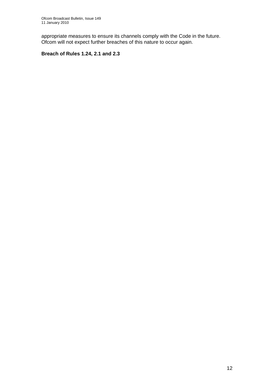appropriate measures to ensure its channels comply with the Code in the future. Ofcom will not expect further breaches of this nature to occur again.

## **Breach of Rules 1.24, 2.1 and 2.3**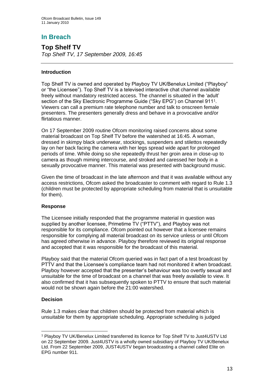## **In Breach**

**Top Shelf TV** *Top Shelf TV, 17 September 2009, 16:45*

## **Introduction**

Top Shelf TV is owned and operated by Playboy TV UK/Benelux Limited ("Playboy" or "the Licensee"). Top Shelf TV is a televised interactive chat channel available freely without mandatory restricted access. The channel is situated in the 'adult' section of the Sky Electronic Programme Guide ("Sky EPG") on Channel 911<sup>1</sup>. Viewers can call a premium rate telephone number and talk to onscreen female presenters. The presenters generally dress and behave in a provocative and/or flirtatious manner.

On 17 September 2009 routine Ofcom monitoring raised concerns about some material broadcast on Top Shelf TV before the watershed at 16:45. A woman, dressed in skimpy black underwear, stockings, suspenders and stilettos repeatedly lay on her back facing the camera with her legs spread wide apart for prolonged periods of time. While doing so she repeatedly thrust her groin area in close-up to camera as though miming intercourse, and stroked and caressed her body in a sexually provocative manner. This material was presented with background music.

Given the time of broadcast in the late afternoon and that it was available without any access restrictions, Ofcom asked the broadcaster to comment with regard to Rule 1.3 (children must be protected by appropriate scheduling from material that is unsuitable for them).

## **Response**

The Licensee initially responded that the programme material in question was supplied by another licensee, Primetime TV ("PTTV"), and Playboy was not responsible for its compliance. Ofcom pointed out however that a licensee remains responsible for complying all material broadcast on its service unless or until Ofcom has agreed otherwise in advance. Playboy therefore reviewed its original response and accepted that it was responsible for the broadcast of this material.

Playboy said that the material Ofcom queried was in fact part of a test broadcast by PTTV and that the Licensee's compliance team had not monitored it when broadcast. Playboy however accepted that the presenter's behaviour was too overtly sexual and unsuitable for the time of broadcast on a channel that was freely available to view. It also confirmed that it has subsequently spoken to PTTV to ensure that such material would not be shown again before the 21:00 watershed.

## **Decision**

Rule 1.3 makes clear that children should be protected from material which is unsuitable for them by appropriate scheduling. Appropriate scheduling is judged

<sup>1</sup> <sup>1</sup> Playboy TV UK/Benelux Limited transferred its licence for Top Shelf TV to Just4USTV Ltd on 22 September 2009. Just4USTV is a wholly owned subsidiary of Playboy TV UK/Benelux Ltd. From 22 September 2009, JUST4USTV began broadcasting a channel called Elite on EPG number 911.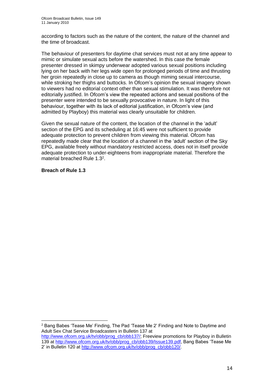according to factors such as the nature of the content, the nature of the channel and the time of broadcast.

The behaviour of presenters for daytime chat services must not at any time appear to mimic or simulate sexual acts before the watershed. In this case the female presenter dressed in skimpy underwear adopted various sexual positions including lying on her back with her legs wide open for prolonged periods of time and thrusting her groin repeatedly in close up to camera as though miming sexual intercourse, while stroking her thighs and buttocks. In Ofcom's opinion the sexual imagery shown to viewers had no editorial context other than sexual stimulation. It was therefore not editorially justified. In Ofcom's view the repeated actions and sexual positions of the presenter were intended to be sexually provocative in nature. In light of this behaviour, together with its lack of editorial justification, in Ofcom's view (and admitted by Playboy) this material was clearly unsuitable for children.

Given the sexual nature of the content, the location of the channel in the 'adult' section of the EPG and its scheduling at 16:45 were not sufficient to provide adequate protection to prevent children from viewing this material. Ofcom has repeatedly made clear that the location of a channel in the 'adult' section of the Sky EPG, available freely without mandatory restricted access, does not in itself provide adequate protection to under-eighteens from inappropriate material. Therefore the material breached Rule 1.3<sup>2</sup> .

## **Breach of Rule 1.3**

1 <sup>2</sup> Bang Babes 'Tease Me' Finding, The Pad 'Tease Me 2' Finding and Note to Daytime and Adult Sex Chat Service Broadcasters in Bulletin 137 at

[http://www.ofcom.org.uk/tv/obb/prog\\_cb/obb137/;](http://www.ofcom.org.uk/tv/obb/prog_cb/obb137/) Freeview promotions for Playboy in Bulletin 139 at [http://www.ofcom.org.uk/tv/obb/prog\\_cb/obb139/Issue139.pdf,](http://www.ofcom.org.uk/tv/obb/prog_cb/obb139/Issue139.pdf) Bang Babes 'Tease Me 2' in Bulletin 120 at [http://www.ofcom.org.uk/tv/obb/prog\\_cb/obb120/.](http://www.ofcom.org.uk/tv/obb/prog_cb/obb120/)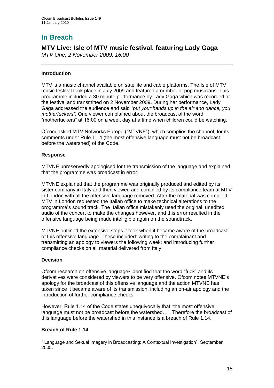# **In Breach**

# **MTV Live: Isle of MTV music festival, featuring Lady Gaga**

*MTV One, 2 November 2009, 16:00*

## **Introduction**

MTV is a music channel available on satellite and cable platforms. The Isle of MTV music festival took place in July 2009 and featured a number of pop musicians. This programme included a 30 minute performance by Lady Gaga which was recorded at the festival and transmitted on 2 November 2009. During her performance, Lady Gaga addressed the audience and said *"put your hands up in the air and dance, you motherfuckers".* One viewer complained about the broadcast of the word "motherfuckers" at 16:00 on a week day at a time when children could be watching.

Ofcom asked MTV Networks Europe ("MTVNE"), which complies the channel, for its comments under Rule 1.14 (the most offensive language must not be broadcast before the watershed) of the Code.

## **Response**

MTVNE unreservedly apologised for the transmission of the language and explained that the programme was broadcast in error.

MTVNE explained that the programme was originally produced and edited by its sister company in Italy and then viewed and complied by its compliance team at MTV in London with all the offensive language removed. After the material was complied, MTV in London requested the Italian office to make technical alterations to the programme's sound track. The Italian office mistakenly used the original, unedited audio of the concert to make the changes however, and this error resulted in the offensive language being made intelligible again on the soundtrack.

MTVNE outlined the extensive steps it took when it became aware of the broadcast of this offensive language. These included: writing to the complainant and transmitting an apology to viewers the following week; and introducing further compliance checks on all material delivered from Italy.

## **Decision**

Ofcom research on offensive language<sup>1</sup> identified that the word "fuck" and its derivatives were considered by viewers to be very offensive. Ofcom notes MTVNE's apology for the broadcast of this offensive language and the action MTVNE has taken since it became aware of its transmission, including an on-air apology and the introduction of further compliance checks.

However, Rule 1.14 of the Code states unequivocally that "the most offensive language must not be broadcast before the watershed…". Therefore the broadcast of this language before the watershed in this instance is a breach of Rule 1.14.

## **Breach of Rule 1.14**

<sup>1</sup> <sup>1</sup> Language and Sexual Imagery in Broadcasting: A Contextual Investigation", September 2005.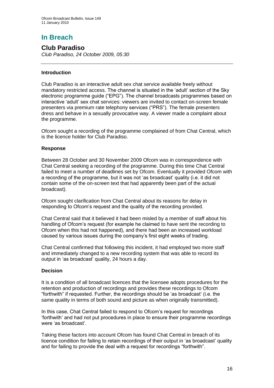# **In Breach**

## **Club Paradiso**

*Club Paradiso, 24 October 2009, 05:30* 

## **Introduction**

Club Paradiso is an interactive adult sex chat service available freely without mandatory restricted access. The channel is situated in the 'adult' section of the Sky electronic programme guide ("EPG"). The channel broadcasts programmes based on interactive 'adult' sex chat services: viewers are invited to contact on-screen female presenters via premium rate telephony services ("PRS"). The female presenters dress and behave in a sexually provocative way. A viewer made a complaint about the programme.

Ofcom sought a recording of the programme complained of from Chat Central, which is the licence holder for Club Paradiso.

## **Response**

Between 28 October and 30 November 2009 Ofcom was in correspondence with Chat Central seeking a recording of the programme. During this time Chat Central failed to meet a number of deadlines set by Ofcom. Eventually it provided Ofcom with a recording of the programme, but it was not 'as broadcast' quality (i.e. it did not contain some of the on-screen text that had apparently been part of the actual broadcast).

Ofcom sought clarification from Chat Central about its reasons for delay in responding to Ofcom's request and the quality of the recording provided.

Chat Central said that it believed it had been misled by a member of staff about his handling of Ofcom's request (for example he claimed to have sent the recording to Ofcom when this had not happened), and there had been an increased workload caused by various issues during the company's first eight weeks of trading.

Chat Central confirmed that following this incident, it had employed two more staff and immediately changed to a new recording system that was able to record its output in 'as broadcast' quality, 24 hours a day.

## **Decision**

It is a condition of all broadcast licences that the licensee adopts procedures for the retention and production of recordings and provides these recordings to Ofcom "forthwith" if requested. Further, the recordings should be 'as broadcast' (i.e. the same quality in terms of both sound and picture as when originally transmitted).

In this case, Chat Central failed to respond to Ofcom's request for recordings 'forthwith' and had not put procedures in place to ensure their programme recordings were 'as broadcast'.

Taking these factors into account Ofcom has found Chat Central in breach of its licence condition for failing to retain recordings of their output in 'as broadcast' quality and for failing to provide the deal with a request for recordings "forthwith".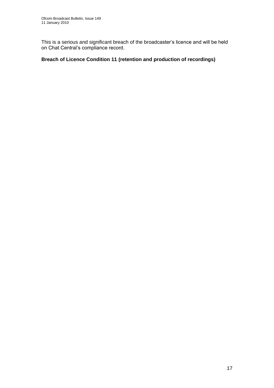This is a serious and significant breach of the broadcaster's licence and will be held on Chat Central's compliance record.

## **Breach of Licence Condition 11 (retention and production of recordings)**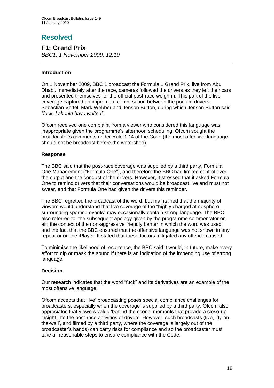# **Resolved**

**F1: Grand Prix** *BBC1, 1 November 2009, 12:10* 

## **Introduction**

On 1 November 2009, BBC 1 broadcast the Formula 1 Grand Prix, live from Abu Dhabi. Immediately after the race, cameras followed the drivers as they left their cars and presented themselves for the official post-race weigh-in. This part of the live coverage captured an impromptu conversation between the podium drivers, Sebastian Vettel, Mark Webber and Jenson Button, during which Jenson Button said *"fuck, I should have waited".*

Ofcom received one complaint from a viewer who considered this language was inappropriate given the programme's afternoon scheduling. Ofcom sought the broadcaster's comments under Rule 1.14 of the Code (the most offensive language should not be broadcast before the watershed).

## **Response**

The BBC said that the post-race coverage was supplied by a third party, Formula One Management ("Formula One"), and therefore the BBC had limited control over the output and the conduct of the drivers. However, it stressed that it asked Formula One to remind drivers that their conversations would be broadcast live and must not swear, and that Formula One had given the drivers this reminder.

The BBC regretted the broadcast of the word, but maintained that the majority of viewers would understand that live coverage of the "highly charged atmosphere surrounding sporting events" may occasionally contain strong language. The BBC also referred to: the subsequent apology given by the programme commentator on air; the context of the non-aggressive friendly banter in which the word was used; and the fact that the BBC ensured that the offensive language was not shown in any repeat or on the iPlayer. It stated that these factors mitigated any offence caused.

To minimise the likelihood of recurrence, the BBC said it would, in future, make every effort to dip or mask the sound if there is an indication of the impending use of strong language.

## **Decision**

Our research indicates that the word "fuck" and its derivatives are an example of the most offensive language.

Ofcom accepts that 'live' broadcasting poses special compliance challenges for broadcasters, especially when the coverage is supplied by a third party. Ofcom also appreciates that viewers value 'behind the scene' moments that provide a close-up insight into the post-race activities of drivers. However, such broadcasts (live, 'fly-onthe-wall', and filmed by a third party, where the coverage is largely out of the broadcaster's hands) can carry risks for compliance and so the broadcaster must take all reasonable steps to ensure compliance with the Code.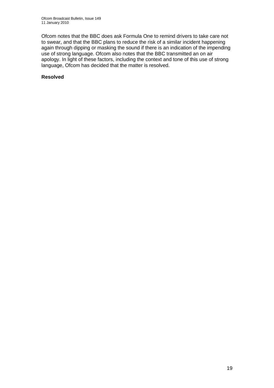Ofcom notes that the BBC does ask Formula One to remind drivers to take care not to swear, and that the BBC plans to reduce the risk of a similar incident happening again through dipping or masking the sound if there is an indication of the impending use of strong language. Ofcom also notes that the BBC transmitted an on air apology. In light of these factors, including the context and tone of this use of strong language, Ofcom has decided that the matter is resolved.

## **Resolved**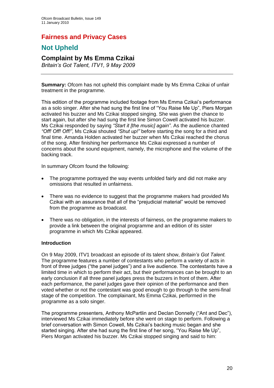## **Fairness and Privacy Cases**

## **Not Upheld**

## **Complaint by Ms Emma Czikai**

*Britain's Got Talent, ITV1, 9 May 2009* 

**Summary:** Ofcom has not upheld this complaint made by Ms Emma Czikai of unfair treatment in the programme.

This edition of the programme included footage from Ms Emma Czikai's performance as a solo singer. After she had sung the first line of "You Raise Me Up", Piers Morgan activated his buzzer and Ms Czikai stopped singing. She was given the chance to start again, but after she had sung the first line Simon Cowell activated his buzzer. Ms Czikai responded by saying *"Start it [the music] again"*. As the audience chanted *"Off! Off! Off!"*, Ms Czikai shouted *"Shut up!"* before starting the song for a third and final time. Amanda Holden activated her buzzer when Ms Czikai reached the chorus of the song. After finishing her performance Ms Czikai expressed a number of concerns about the sound equipment, namely, the microphone and the volume of the backing track.

In summary Ofcom found the following:

- The programme portrayed the way events unfolded fairly and did not make any omissions that resulted in unfairness.
- There was no evidence to suggest that the programme makers had provided Ms Czikai with an assurance that all of the "prejudicial material" would be removed from the programme as broadcast.
- There was no obligation, in the interests of fairness, on the programme makers to provide a link between the original programme and an edition of its sister programme in which Ms Czikai appeared.

## **Introduction**

On 9 May 2009, ITV1 broadcast an episode of its talent show, *Britain's Got Talent.* The programme features a number of contestants who perform a variety of acts in front of three judges ("the panel judges") and a live audience. The contestants have a limited time in which to perform their act, but their performances can be brought to an early conclusion if all three panel judges press the buzzers in front of them. After each performance, the panel judges gave their opinion of the performance and then voted whether or not the contestant was good enough to go through to the semi-final stage of the competition. The complainant, Ms Emma Czikai, performed in the programme as a solo singer.

The programme presenters, Anthony McPartlin and Declan Donnelly ("Ant and Dec"), interviewed Ms Czikai immediately before she went on stage to perform. Following a brief conversation with Simon Cowell, Ms Czikai's backing music began and she started singing. After she had sung the first line of her song, "You Raise Me Up", Piers Morgan activated his buzzer. Ms Czikai stopped singing and said to him: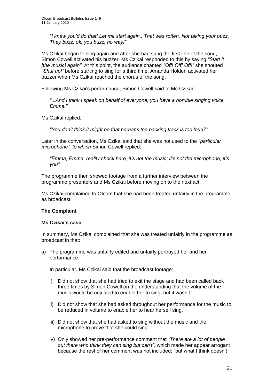*"I knew you'd do that! Let me start again...That was rotten. Not taking your buzz. They buzz, ok; you buzz, no way!"*

Ms Czikai began to sing again and after she had sung the first line of the song, Simon Cowell activated his buzzer. Ms Czikai responded to this by saying *"Start it [the music] again"*. At this point, the audience chanted *"Off! Off! Off!"* she shouted *"Shut up!"* before starting to sing for a third time. Amanda Holden activated her buzzer when Ms Czikai reached the chorus of the song.

Following Ms Czikai's performance, Simon Cowell said to Ms Czikai:

*"*...*And I think I speak on behalf of everyone; you have a horrible singing voice Emma."*

Ms Czikai replied:

*"You don't think it might be that perhaps the backing track is too loud?"*

Later in the conversation, Ms Czikai said that she was not used to the *"particular microphone", to which* Simon Cowell replied:

*"Emma, Emma, reality check here, it's not the music; it's not the microphone; it's you".*

The programme then showed footage from a further interview between the programme presenters and Ms Czikai before moving on to the next act.

Ms Czikai complained to Ofcom that she had been treated unfairly in the programme as broadcast.

## **The Complaint**

### **Ms Czikai's case**

In summary, Ms Czikai complained that she was treated unfairly in the programme as broadcast in that:

a) The programme was unfairly edited and unfairly portrayed her and her performance.

In particular, Ms Czikai said that the broadcast footage:

- i) Did not show that she had tried to exit the stage and had been called back three times by Simon Cowell on the understanding that the volume of the music would be adjusted to enable her to sing, but it wasn't.
- ii) Did not show that she had asked throughout her performance for the music to be reduced in volume to enable her to hear herself sing.
- iii) Did not show that she had asked to sing without the music and the microphone to prove that she could sing.
- iv) Only showed her pre-performance comment that *"There are a lot of people out there who think they can sing but can't"*, which made her appear arrogant because the rest of her comment was not included: "but what I think doesn't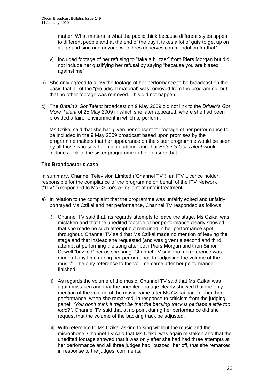matter. What matters is what the public think because different styles appeal to different people and at the end of the day it takes a lot of guts to get up on stage and sing and anyone who does deserves commendation for that".

- v) Included footage of her refusing to "take a buzzer" from Piers Morgan but did not include her qualifying her refusal by saying "because you are biased against me".
- b) She only agreed to allow the footage of her performance to be broadcast on the basis that all of the "prejudicial material" was removed from the programme, but that no other footage was removed. This did not happen.
- c) The *Britain's Got Talent* broadcast on 9 May 2009 did not link to the *Britain's Got More Talent* of 25 May 2009 in which she later appeared, where she had been provided a fairer environment in which to perform.

Ms Czikai said that she had given her consent for footage of her performance to be included in the 9 May 2009 broadcast based upon promises by the programme makers that her appearance on the sister programme would be seen by all those who saw her main audition*,* and that *Britain's Got Talent* would include a link to the sister programme to help ensure that.

## **The Broadcaster's case**

In summary, Channel Television Limited ("Channel TV"), an ITV Licence holder, responsible for the compliance of the programme on behalf of the ITV Network ("ITV1") responded to Ms Czikai's complaint of unfair treatment.

- a) In relation to the complaint that the programme was unfairly edited and unfairly portrayed Ms Czikai and her performance, Channel TV responded as follows:
	- i) Channel TV said that, as regards attempts to leave the stage, Ms Czikai was mistaken and that the unedited footage of her performance clearly showed that she made no such attempt but remained in her performance spot throughout. Channel TV said that Ms Czikai made no mention of leaving the stage and that instead she requested (and was given) a second and third attempt at performing the song after both Piers Morgan and then Simon Cowell "buzzed" her as she sang. Channel TV said that no reference was made at any time during her performance to "adjusting the volume of the music". The only reference to the volume came after her performance finished.
	- ii) As regards the volume of the music, Channel TV said that Ms Czikai was again mistaken and that the unedited footage clearly showed that the only mention of the volume of the music came after Ms Czikai had finished her performance, when she remarked, in response to criticism from the judging panel, *"You don't think it might be that the backing track is perhaps a little too loud?"*. Channel TV said that at no point during her performance did she request that the volume of the backing track be adjusted.
	- iii) With reference to Ms Czikai asking to sing without the music and the microphone, Channel TV said that Ms Czikai was again mistaken and that the unedited footage showed that it was only after she had had three attempts at her performance and all three judges had "buzzed" her off, that she remarked in response to the judges' comments: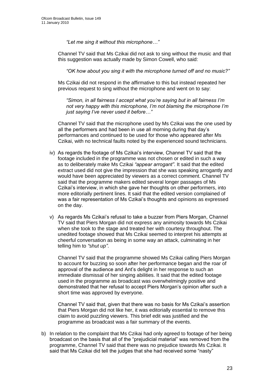*"Let me sing it without this microphone…"*

Channel TV said that Ms Czikai did not ask to sing without the music and that this suggestion was actually made by Simon Cowell, who said:

*"OK how about you sing it with the microphone turned off and no music?"*

Ms Czikai did not respond in the affirmative to this but instead repeated her previous request to sing without the microphone and went on to say:

*"Simon, in all fairness I accept what you're saying but in all fairness I'm not very happy with this microphone, I'm not blaming the microphone I'm just saying I've never used it before…"*

Channel TV said that the microphone used by Ms Czikai was the one used by all the performers and had been in use all morning during that day's performances and continued to be used for those who appeared after Ms Czikai, with no technical faults noted by the experienced sound technicians.

- iv) As regards the footage of Ms Czikai's interview, Channel TV said that the footage included in the programme was not chosen or edited in such a way as to deliberately make Ms Czikai *"appear arrogant"*. It said that the edited extract used did not give the impression that she was speaking arrogantly *a*nd would have been appreciated by viewers as a correct comment. Channel TV said that the programme makers edited several longer passages of Ms Czikai's interview, in which she gave her thoughts on other performers, into more editorially pertinent lines. It said that the edited version complained of was a fair representation of Ms Czikai's thoughts and opinions as expressed on the day.
- v) As regards Ms Czikai's refusal to take a buzzer from Piers Morgan, Channel TV said that Piers Morgan did not express any animosity towards Ms Czikai when she took to the stage and treated her with courtesy throughout. The unedited footage showed that Ms Czikai seemed to interpret his attempts at cheerful conversation as being in some way an attack, culminating in her telling him to *"shut up"*.

Channel TV said that the programme showed Ms Czikai calling Piers Morgan to account for buzzing so soon after her performance began and the roar of approval of the audience and Ant's delight in her response to such an immediate dismissal of her singing abilities. It said that the edited footage used in the programme as broadcast was overwhelmingly positive and demonstrated that her refusal to accept Piers Morgan's opinion after such a short time was approved by everyone.

Channel TV said that, given that there was no basis for Ms Czikai's assertion that Piers Morgan did not like her, it was editorially essential to remove this claim to avoid puzzling viewers. This brief edit was justified and the programme as broadcast was a fair summary of the events.

b) In relation to the complaint that Ms Czikai had only agreed to footage of her being broadcast on the basis that all of the "prejudicial material" was removed from the programme, Channel TV said that there was no prejudice towards Ms Czikai. It said that Ms Czikai did tell the judges that she had received some "nasty"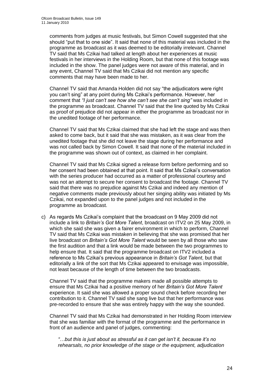comments from judges at music festivals, but Simon Cowell suggested that she should "put that to one side". It said that none of this material was included in the programme as broadcast as it was deemed to be editorially irrelevant. Channel TV said that Ms Czikai had talked at length about her experiences at music festivals in her interviews in the Holding Room, but that none of this footage was included in the show. The panel judges were not aware of this material, and in any event, Channel TV said that Ms Czikai did not mention any specific comments that may have been made to her.

Channel TV said that Amanda Holden did not say "the adjudicators were right you can't sing" at any point during Ms Czikai's performance. However, her comment that *"I just can't see how she can't see she can't sing"* was included in the programme as broadcast. Channel TV said that the line quoted by Ms Czikai as proof of prejudice did not appear in either the programme as broadcast nor in the unedited footage of her performance.

Channel TV said that Ms Czikai claimed that she had left the stage and was then asked to come back, but it said that she was mistaken, as it was clear from the unedited footage that she did not leave the stage during her performance and was not called back by Simon Cowell. It said that none of the material included in the programme was shown out of context, as claimed in her complaint.

Channel TV said that Ms Czikai signed a release form before performing and so her consent had been obtained at that point. It said that Ms Czikai's conversation with the series producer had occurred as a matter of professional courtesy and was not an attempt to secure her consent to broadcast the footage. Channel TV said that there was no prejudice against Ms Czikai and indeed any mention of negative comments made previously about her singing ability was initiated by Ms Czikai, not expanded upon to the panel judges and not included in the programme as broadcast.

c) As regards Ms Czikai's complaint that the broadcast on 9 May 2009 did not include a link to *Britain's Got More Talent*, broadcast on ITV2 on 25 May 2009, in which she said she was given a fairer environment in which to perform, Channel TV said that Ms Czikai was mistaken in believing that she was promised that her live broadcast on *Britain's Got More Talent* would be seen by all those who saw the first audition and that a link would be made between the two programmes to help ensure that. It said that the programme broadcast on ITV2 included a reference to Ms Czikai's previous appearance in *Britain's Got Talent*, but that editorially a link of the sort that Ms Czikai appeared to envisage was impossible, not least because of the length of time between the two broadcasts.

Channel TV said that the programme makers made all possible attempts to ensure that Ms Czikai had a positive memory of her *Britain's Got More Talent* experience. It said she was allowed a proper sound check before recording her contribution to it. Channel TV said she sang live but that her performance was pre-recorded to ensure that she was entirely happy with the way she sounded.

Channel TV said that Ms Czikai had demonstrated in her Holding Room interview that she was familiar with the format of the programme and the performance in front of an audience and panel of judges, commenting:

*"…but this is just about as stressful as it can get isn't it, because it's no rehearsals, no prior knowledge of the stage or the equipment, adjudication*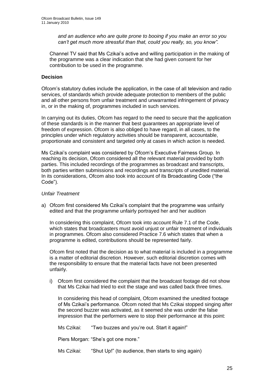*and an audience who are quite prone to booing if you make an error so you can't get much more stressful than that, could you really, so, you know".*

Channel TV said that Ms Czikai's active and willing participation in the making of the programme was a clear indication that she had given consent for her contribution to be used in the programme.

## **Decision**

Ofcom's statutory duties include the application, in the case of all television and radio services, of standards which provide adequate protection to members of the public and all other persons from unfair treatment and unwarranted infringement of privacy in, or in the making of, programmes included in such services.

In carrying out its duties, Ofcom has regard to the need to secure that the application of these standards is in the manner that best guarantees an appropriate level of freedom of expression. Ofcom is also obliged to have regard, in all cases, to the principles under which regulatory activities should be transparent, accountable, proportionate and consistent and targeted only at cases in which action is needed.

Ms Czikai's complaint was considered by Ofcom's Executive Fairness Group. In reaching its decision, Ofcom considered all the relevant material provided by both parties. This included recordings of the programmes as broadcast and transcripts, both parties written submissions and recordings and transcripts of unedited material. In its considerations, Ofcom also took into account of its Broadcasting Code ("the Code").

## *Unfair Treatment*

a) Ofcom first considered Ms Czikai's complaint that the programme was unfairly edited and that the programme unfairly portrayed her and her audition

In considering this complaint, Ofcom took into account Rule 7.1 of the Code, which states that broadcasters must avoid unjust or unfair treatment of individuals in programmes. Ofcom also considered Practice 7.6 which states that when a programme is edited, contributions should be represented fairly.

Ofcom first noted that the decision as to what material is included in a programme is a matter of editorial discretion. However, such editorial discretion comes with the responsibility to ensure that the material facts have not been presented unfairly.

i) Ofcom first considered the complaint that the broadcast footage did not show that Ms Czikai had tried to exit the stage and was called back three times.

In considering this head of complaint, Ofcom examined the unedited footage of Ms Czikai's performance. Ofcom noted that Ms Czikai stopped singing after the second buzzer was activated, as it seemed she was under the false impression that the performers were to stop their performance at this point:

Ms Czikai: "Two buzzes and you're out. Start it again!"

Piers Morgan: "She's got one more."

Ms Czikai: "Shut Up!" (to audience, then starts to sing again)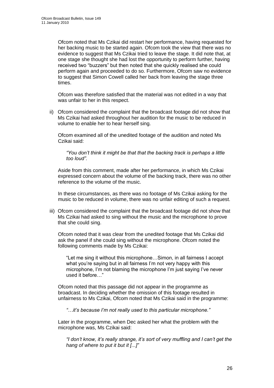Ofcom noted that Ms Czikai did restart her performance, having requested for her backing music to be started again. Ofcom took the view that there was no evidence to suggest that Ms Czikai tried to leave the stage. It did note that, at one stage she thought she had lost the opportunity to perform further, having received two "buzzers" but then noted that she quickly realised she could perform again and proceeded to do so. Furthermore, Ofcom saw no evidence to suggest that Simon Cowell called her back from leaving the stage three times.

Ofcom was therefore satisfied that the material was not edited in a way that was unfair to her in this respect.

ii) Ofcom considered the complaint that the broadcast footage did not show that Ms Czikai had asked throughout her audition for the music to be reduced in volume to enable her to hear herself sing.

Ofcom examined all of the unedited footage of the audition and noted Ms Czikai said:

*"You don't think it might be that that the backing track is perhaps a little too loud".*

Aside from this comment, made after her performance, in which Ms Czikai expressed concern about the volume of the backing track, there was no other reference to the volume of the music.

In these circumstances, as there was no footage of Ms Czikai asking for the music to be reduced in volume, there was no unfair editing of such a request.

iii) Ofcom considered the complaint that the broadcast footage did not show that Ms Czikai had asked to sing without the music and the microphone to prove that she could sing.

Ofcom noted that it was clear from the unedited footage that Ms Czikai did ask the panel if she could sing without the microphone. Ofcom noted the following comments made by Ms Czikai:

"Let me sing it without this microphone…Simon, in all fairness I accept what you're saying but in all fairness I'm not very happy with this microphone, I'm not blaming the microphone I'm just saying I've never used it before…"

Ofcom noted that this passage did not appear in the programme as broadcast. In deciding whether the omission of this footage resulted in unfairness to Ms Czikai, Ofcom noted that Ms Czikai said in the programme:

*"…it's because I'm not really used to this particular microphone."*

Later in the programme, when Dec asked her what the problem with the microphone was, Ms Czikai said:

*"I don't know, it's really strange, it's sort of very muffling and I can't get the hang of where to put it but it [...]"*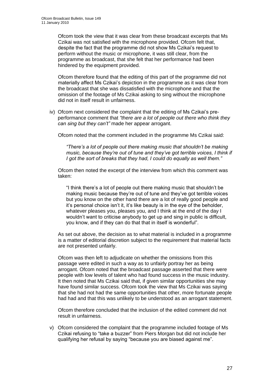Ofcom took the view that it was clear from these broadcast excerpts that Ms Czikai was not satisfied with the microphone provided. Ofcom felt that, despite the fact that the programme did not show Ms Czikai's request to perform without the music or microphone, it was still clear, from the programme as broadcast, that she felt that her performance had been hindered by the equipment provided.

Ofcom therefore found that the editing of this part of the programme did not materially affect Ms Czikai's depiction in the programme as it was clear from the broadcast that she was dissatisfied with the microphone and that the omission of the footage of Ms Czikai asking to sing without the microphone did not in itself result in unfairness.

iv) Ofcom next considered the complaint that the editing of Ms Czikai's preperformance comment that *"there are a lot of people out there who think they can sing but they can't"* made her appear arrogant.

Ofcom noted that the comment included in the programme Ms Czikai said:

*"There's a lot of people out there making music that shouldn't be making music, because they're out of tune and they've got terrible voices, I think if I got the sort of breaks that they had, I could do equally as well them."*

Ofcom then noted the excerpt of the interview from which this comment was taken:

"I think there's a lot of people out there making music that shouldn't be making music because they're out of tune and they've got terrible voices but you know on the other hand there are a lot of really good people and it's personal choice isn't it, it's like beauty is in the eye of the beholder, whatever pleases you, pleases you, and I think at the end of the day I wouldn't want to criticise anybody to get up and sing in public is difficult, you know, and if they can do that that in itself is wonderful".

As set out above, the decision as to what material is included in a programme is a matter of editorial discretion subject to the requirement that material facts are not presented unfairly.

Ofcom was then left to adjudicate on whether the omissions from this passage were edited in such a way as to unfairly portray her as being arrogant. Ofcom noted that the broadcast passage asserted that there were people with low levels of talent who had found success in the music industry. It then noted that Ms Czikai said that, if given similar opportunities she may have found similar success. Ofcom took the view that Ms Czikai was saying that she had not had the same opportunities that other, more fortunate people had had and that this was unlikely to be understood as an arrogant statement.

Ofcom therefore concluded that the inclusion of the edited comment did not result in unfairness.

v) Ofcom considered the complaint that the programme included footage of Ms Czikai refusing to "take a buzzer" from Piers Morgan but did not include her qualifying her refusal by saying "because you are biased against me".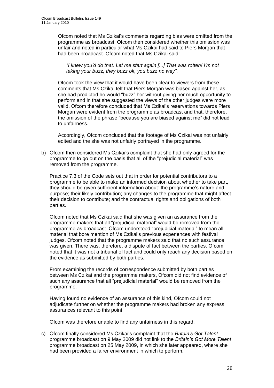Ofcom noted that Ms Czikai's comments regarding bias were omitted from the programme as broadcast. Ofcom then considered whether this omission was unfair and noted in particular what Ms Czikai had said to Piers Morgan that had been broadcast. Ofcom noted that Ms Czikai said:

*"I knew you'd do that. Let me start again [...] That was rotten! I'm not taking your buzz, they buzz ok, you buzz no way".*

Ofcom took the view that it would have been clear to viewers from these comments that Ms Czikai felt that Piers Morgan was biased against her, as she had predicted he would "buzz" her without giving her much opportunity to perform and in that she suggested the views of the other judges were more valid. Ofcom therefore concluded that Ms Czikai's reservations towards Piers Morgan were evident from the programme as broadcast and that, therefore, the omission of the phrase "because you are biased against me" did not lead to unfairness.

Accordingly, Ofcom concluded that the footage of Ms Czikai was not unfairly edited and the she was not unfairly portrayed in the programme.

b) Ofcom then considered Ms Czikai's complaint that she had only agreed for the programme to go out on the basis that all of the "prejudicial material" was removed from the programme.

Practice 7.3 of the Code sets out that in order for potential contributors to a programme to be able to make an informed decision about whether to take part, they should be given sufficient information about: the programme's nature and purpose; their likely contribution; any changes to the programme that might affect their decision to contribute; and the contractual rights and obligations of both parties.

Ofcom noted that Ms Czikai said that she was given an assurance from the programme makers that all "prejudicial material" would be removed from the programme as broadcast. Ofcom understood "prejudicial material" to mean all material that bore mention of Ms Czikai's previous experiences with festival judges. Ofcom noted that the programme makers said that no such assurance was given. There was, therefore, a dispute of fact between the parties. Ofcom noted that it was not a tribunal of fact and could only reach any decision based on the evidence as submitted by both parties.

From examining the records of correspondence submitted by both parties between Ms Czikai and the programme makers, Ofcom did not find evidence of such any assurance that all "prejudicial material" would be removed from the programme.

Having found no evidence of an assurance of this kind, Ofcom could not adjudicate further on whether the programme makers had broken any express assurances relevant to this point.

Ofcom was therefore unable to find any unfairness in this regard.

c) Ofcom finally considered Ms Czikai's complaint that the *Britain's Got Talent* programme broadcast on 9 May 2009 did not link to the *Britain's Got More Talent* programme broadcast on 25 May 2009, in which she later appeared, where she had been provided a fairer environment in which to perform.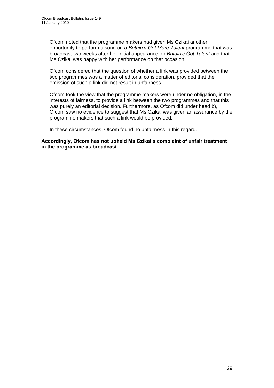Ofcom noted that the programme makers had given Ms Czikai another opportunity to perform a song on a *Britain's Got More Talent* programme that was broadcast two weeks after her initial appearance on *Britain's Got Talent* and that Ms Czikai was happy with her performance on that occasion.

Ofcom considered that the question of whether a link was provided between the two programmes was a matter of editorial consideration, provided that the omission of such a link did not result in unfairness.

Ofcom took the view that the programme makers were under no obligation, in the interests of fairness, to provide a link between the two programmes and that this was purely an editorial decision. Furthermore, as Ofcom did under head b), Ofcom saw no evidence to suggest that Ms Czikai was given an assurance by the programme makers that such a link would be provided.

In these circumstances, Ofcom found no unfairness in this regard.

**Accordingly, Ofcom has not upheld Ms Czikai's complaint of unfair treatment in the programme as broadcast.**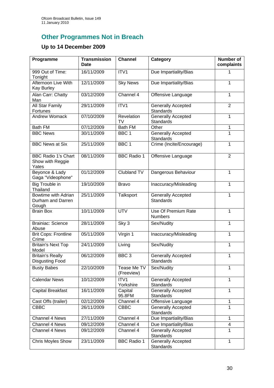# **Other Programmes Not in Breach**

## **Up to 14 December 2009**

| Programme                                               | <b>Transmission</b><br><b>Date</b> | <b>Channel</b>            | Category                                      | Number of<br>complaints |
|---------------------------------------------------------|------------------------------------|---------------------------|-----------------------------------------------|-------------------------|
| 999 Out of Time:<br>Tonight                             | 16/11/2009                         | ITV1                      | Due Impartiality/Bias                         | 1                       |
| Afternoon Live With<br>Kay Burley                       | 12/11/2009                         | <b>Sky News</b>           | Due Impartiality/Bias                         | 1                       |
| Alan Carr: Chatty<br>Man                                | 03/12/2009                         | Channel 4                 | Offensive Language                            | 1                       |
| All Star Family<br>Fortunes                             | 29/11/2009                         | ITV1                      | <b>Generally Accepted</b><br><b>Standards</b> | $\overline{2}$          |
| <b>Andrew Womack</b>                                    | 07/10/2009                         | Revelation<br>TV          | <b>Generally Accepted</b><br>Standards        | 1                       |
| Bath FM                                                 | 07/12/2009                         | <b>Bath FM</b>            | Other                                         | 1                       |
| <b>BBC News</b>                                         | 30/11/2009                         | BBC <sub>1</sub>          | Generally Accepted<br><b>Standards</b>        | 1                       |
| <b>BBC News at Six</b>                                  | 25/11/2009                         | BBC <sub>1</sub>          | Crime (Incite/Encourage)                      | 1                       |
| <b>BBC Radio 1's Chart</b><br>Show with Reggie<br>Yates | 08/11/2009                         | <b>BBC Radio 1</b>        | Offensive Language                            | $\overline{2}$          |
| Beyonce & Lady<br>Gaga "Videophone"                     | 01/12/2009                         | Clubland TV               | Dangerous Behaviour                           | 1                       |
| <b>Big Trouble in</b><br>Thailand                       | 19/10/2009                         | <b>Bravo</b>              | Inaccuracy/Misleading                         | 1                       |
| Bowtime with Adrian<br>Durham and Darren<br>Gough       | 25/11/2009                         | Talksport                 | <b>Generally Accepted</b><br><b>Standards</b> | $\overline{1}$          |
| <b>Brain Box</b>                                        | 10/11/2009                         | <b>UTV</b>                | Use Of Premium Rate<br><b>Numbers</b>         | 1                       |
| <b>Brainiac: Science</b><br>Abuse                       | 28/11/2009                         | Sky 3                     | Sex/Nudity                                    | 1                       |
| <b>Brit Cops: Frontline</b><br>Crime                    | 05/11/2009                         | Virgin 1                  | Inaccuracy/Misleading                         | 1                       |
| <b>Britain's Next Top</b><br>Model                      | 24/11/2009                         | Living                    | Sex/Nudity                                    | 1                       |
| <b>Britain's Really</b><br><b>Disgusting Food</b>       | 06/12/2009                         | BBC <sub>3</sub>          | Generally Accepted<br><b>Standards</b>        | 1                       |
| <b>Busty Babes</b>                                      | 22/10/2009                         | Tease Me TV<br>(Freeview) | Sex/Nudity                                    | 1                       |
| <b>Calendar News</b>                                    | 10/12/2009                         | ITV1<br>Yorkshire         | <b>Generally Accepted</b><br><b>Standards</b> | 1                       |
| Capital Breakfast                                       | 16/11/2009                         | Capital<br>95.8FM         | <b>Generally Accepted</b><br><b>Standards</b> | 1                       |
| Cast Offs (trailer)                                     | 02/12/2009                         | Channel 4                 | Offensive Language                            | 1                       |
| <b>CBBC</b>                                             | 26/11/2009                         | <b>CBBC</b>               | Generally Accepted<br><b>Standards</b>        | 1                       |
| Channel 4 News                                          | 27/11/2009                         | Channel 4                 | Due Impartiality/Bias                         | $\mathbf{1}$            |
| Channel 4 News                                          | 09/12/2009                         | Channel 4                 | Due Impartiality/Bias                         | 4                       |
| Channel 4 News                                          | 09/12/2009                         | Channel 4                 | <b>Generally Accepted</b><br>Standards        | 1                       |
| Chris Moyles Show                                       | 23/11/2009                         | <b>BBC Radio 1</b>        | Generally Accepted<br>Standards               | $\mathbf{1}$            |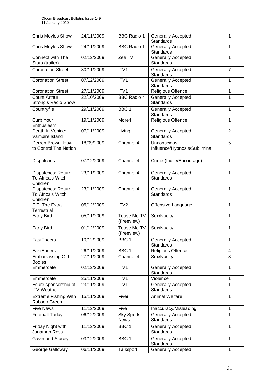| <b>Chris Moyles Show</b>                            | 24/11/2009 | <b>BBC Radio 1</b>               | <b>Generally Accepted</b><br><b>Standards</b> | 1              |
|-----------------------------------------------------|------------|----------------------------------|-----------------------------------------------|----------------|
| <b>Chris Moyles Show</b>                            | 24/11/2009 | <b>BBC Radio 1</b>               | <b>Generally Accepted</b><br><b>Standards</b> | 1              |
| Connect with The<br>Stars (trailer)                 | 02/12/2009 | Zee TV                           | <b>Generally Accepted</b><br><b>Standards</b> | 1              |
| <b>Coronation Street</b>                            | 30/11/2009 | ITV1                             | <b>Generally Accepted</b><br><b>Standards</b> | $\overline{7}$ |
| <b>Coronation Street</b>                            | 07/12/2009 | ITV1                             | <b>Generally Accepted</b><br><b>Standards</b> | 1              |
| <b>Coronation Street</b>                            | 27/11/2009 | ITV1                             | <b>Religious Offence</b>                      | 1              |
| <b>Count Arthur</b><br>Strong's Radio Show          | 22/10/2009 | <b>BBC Radio 4</b>               | <b>Generally Accepted</b><br><b>Standards</b> | 1              |
| Countryfile                                         | 29/11/2009 | BBC <sub>1</sub>                 | <b>Generally Accepted</b><br>Standards        | 1              |
| Curb Your<br>Enthusiasm                             | 19/11/2009 | More4                            | <b>Religious Offence</b>                      | 1              |
| Death In Venice:<br>Vampire Island                  | 07/11/2009 | Living                           | <b>Generally Accepted</b><br><b>Standards</b> | $\overline{2}$ |
| Derren Brown: How<br>to Control The Nation          | 18/09/2009 | Channel 4                        | Unconscious<br>Influence/Hypnosis/Subliminal  | 5              |
| Dispatches                                          | 07/12/2009 | Channel 4                        | Crime (Incite/Encourage)                      | 1              |
| Dispatches: Return<br>To Africa's Witch<br>Children | 23/11/2009 | Channel 4                        | <b>Generally Accepted</b><br><b>Standards</b> | 1              |
| Dispatches: Return<br>To Africa's Witch<br>Children | 23/11/2009 | Channel 4                        | <b>Generally Accepted</b><br><b>Standards</b> | 1              |
| E.T. The Extra-<br><b>Terrestrial</b>               | 05/12/2009 | ITV2                             | Offensive Language                            | 1              |
| Early Bird                                          | 05/11/2009 | Tease Me TV<br>(Freeview)        | Sex/Nudity                                    | 1              |
| Early Bird                                          | 01/12/2009 | Tease Me TV<br>(Freeview)        | Sex/Nudity                                    | 1              |
| EastEnders                                          | 10/12/2009 | BBC <sub>1</sub>                 | Generally Accepted<br><b>Standards</b>        | 1              |
| EastEnders                                          | 26/11/2009 | BBC <sub>1</sub>                 | Religious Offence                             | $\overline{4}$ |
| <b>Embarrassing Old</b><br><b>Bodies</b>            | 27/11/2009 | Channel 4                        | Sex/Nudity                                    | 3              |
| Emmerdale                                           | 02/12/2009 | ITV1                             | <b>Generally Accepted</b><br><b>Standards</b> | $\mathbf{1}$   |
| Emmerdale                                           | 25/11/2009 | ITV1                             | Violence                                      | $\mathbf{1}$   |
| Esure sponsorship of<br><b>ITV Weather</b>          | 23/11/2009 | ITV1                             | <b>Generally Accepted</b><br><b>Standards</b> | $\mathbf{1}$   |
| <b>Extreme Fishing With</b><br>Robson Green         | 15/11/2009 | Fiver                            | <b>Animal Welfare</b>                         | 1              |
| <b>Five News</b>                                    | 11/12/2009 | Five                             | Inaccuracy/Misleading                         | 1              |
| <b>Football Today</b>                               | 06/12/2009 | <b>Sky Sports</b><br><b>News</b> | <b>Generally Accepted</b><br><b>Standards</b> | 1              |
| Friday Night with<br>Jonathan Ross                  | 11/12/2009 | BBC <sub>1</sub>                 | <b>Generally Accepted</b><br><b>Standards</b> | 1              |
| Gavin and Stacey                                    | 03/12/2009 | BBC <sub>1</sub>                 | <b>Generally Accepted</b><br><b>Standards</b> | 1              |
| George Galloway                                     | 06/11/2009 | Talksport                        | Generally Accepted                            | 1              |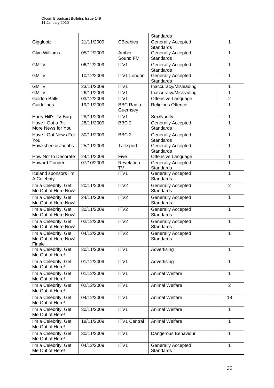|                                                       |            |                              | <b>Standards</b>                              |                |
|-------------------------------------------------------|------------|------------------------------|-----------------------------------------------|----------------|
| Gigglebiz                                             | 21/11/2009 | <b>CBeebies</b>              | <b>Generally Accepted</b><br><b>Standards</b> | 1              |
| <b>Glyn Williams</b>                                  | 05/12/2009 | Amber<br>Sound FM            | <b>Generally Accepted</b><br><b>Standards</b> | 1              |
| <b>GMTV</b>                                           | 06/12/2009 | ITV1                         | <b>Generally Accepted</b><br>Standards        | 1              |
| <b>GMTV</b>                                           | 10/12/2009 | <b>ITV1 London</b>           | <b>Generally Accepted</b><br>Standards        | $\mathbf{1}$   |
| <b>GMTV</b>                                           | 23/11/2009 | ITV <sub>1</sub>             | Inaccuracy/Misleading                         | 1              |
| <b>GMTV</b>                                           | 26/11/2009 | ITV1                         | Inaccuracy/Misleading                         | 1              |
| <b>Golden Balls</b>                                   | 03/12/2009 | ITV1                         | Offensive Language                            | $\overline{2}$ |
| <b>Guidelines</b>                                     | 19/11/2009 | <b>BBC Radio</b><br>Guernsey | <b>Religious Offence</b>                      | 1              |
| Harry Hill's TV Burp                                  | 28/11/2009 | ITV1                         | Sex/Nudity                                    | 1              |
| Have I Got a Bit<br>More News for You                 | 28/11/2009 | BBC <sub>2</sub>             | Generally Accepted<br><b>Standards</b>        | 1              |
| Have I Got News For<br>You                            | 30/11/2009 | BBC <sub>2</sub>             | <b>Generally Accepted</b><br>Standards        | 1              |
| Hawksbee & Jacobs                                     | 25/11/2009 | Talksport                    | <b>Generally Accepted</b><br><b>Standards</b> | 1              |
| How Not to Decorate                                   | 24/11/2009 | Five                         | Offensive Language                            | 1              |
| <b>Howard Conder</b>                                  | 07/10/2009 | Revelation<br>TV             | <b>Generally Accepted</b><br>Standards        | 1              |
| Iceland sponsors I'm<br>A Celebrity                   |            | ITV1                         | <b>Generally Accepted</b><br><b>Standards</b> | 1              |
| I'm a Celebrity, Get<br>Me Out of Here Now!           | 20/11/2009 | ITV2                         | <b>Generally Accepted</b><br><b>Standards</b> | $\overline{2}$ |
| I'm a Celebrity, Get<br>Me Out of Here Now!           | 24/11/2009 | ITV <sub>2</sub>             | <b>Generally Accepted</b><br><b>Standards</b> | 1              |
| I'm a Celebrity, Get<br>Me Out of Here Now!           | 30/11/2009 | ITV2                         | <b>Generally Accepted</b><br>Standards        | 1              |
| I'm a Celebrity, Get<br>Me Out of Here Now!           | 02/12/2009 | ITV <sub>2</sub>             | <b>Generally Accepted</b><br>Standards        | 1              |
| I'm a Celebrity, Get<br>Me Out of Here Now!<br>Finale | 04/12/2009 | ITV <sub>2</sub>             | <b>Generally Accepted</b><br>Standards        | 1              |
| I'm a Celebrity, Get<br>Me Out of Here!               | 30/11/2009 | ITV1                         | Advertising                                   | 1              |
| I'm a Celebrity, Get<br>Me Out of Here!               | 01/12/2009 | ITV1                         | Advertising                                   | 1              |
| I'm a Celebrity, Get<br>Me Out of Here!               | 01/12/2009 | ITV1                         | <b>Animal Welfare</b>                         | 1              |
| I'm a Celebrity, Get<br>Me Out of Here!               | 02/12/2009 | ITV1                         | <b>Animal Welfare</b>                         | $\overline{2}$ |
| I'm a Celebrity, Get<br>Me Out of Here!               | 04/12/2009 | ITV1                         | Animal Welfare                                | 18             |
| I'm a Celebrity, Get<br>Me Out of Here!               | 30/11/2009 | ITV1                         | Animal Welfare                                | 1              |
| I'm a Celebrity, Get<br>Me Out of Here!               | 18/11/2009 | <b>ITV1 Central</b>          | Animal Welfare                                | $\mathbf{1}$   |
| I'm a Celebrity, Get<br>Me Out of Here!               | 30/11/2009 | ITV1                         | Dangerous Behaviour                           | 1              |
| I'm a Celebrity, Get<br>Me Out of Here!               | 04/12/2009 | ITV1                         | <b>Generally Accepted</b><br><b>Standards</b> | 1              |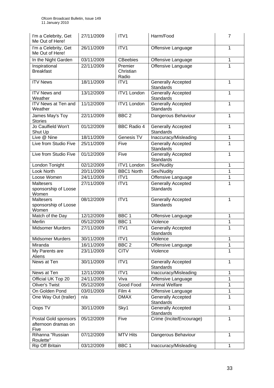| I'm a Celebrity, Get<br>Me Out of Here!             | 27/11/2009 | ITV <sub>1</sub>              | Harm/Food                                     | $\overline{7}$ |
|-----------------------------------------------------|------------|-------------------------------|-----------------------------------------------|----------------|
| I'm a Celebrity, Get<br>Me Out of Here!             | 26/11/2009 | ITV1                          | Offensive Language                            | 1              |
| In the Night Garden                                 | 03/11/2009 | <b>CBeebies</b>               | Offensive Language                            | $\mathbf{1}$   |
| Inspirational<br><b>Breakfast</b>                   | 22/11/2009 | Premier<br>Christian<br>Radio | Offensive Language                            | 1              |
| <b>ITV News</b>                                     | 18/11/2009 | ITV1                          | <b>Generally Accepted</b><br><b>Standards</b> | 1              |
| <b>ITV</b> News and<br>Weather                      | 13/12/2009 | <b>ITV1 London</b>            | Generally Accepted<br>Standards               | 1              |
| <b>ITV News at Ten and</b><br>Weather               | 11/12/2009 | <b>ITV1 London</b>            | <b>Generally Accepted</b><br><b>Standards</b> | 1              |
| James May's Toy<br><b>Stories</b>                   | 22/11/2009 | BBC <sub>2</sub>              | Dangerous Behaviour                           | $\mathbf{1}$   |
| Jo Caulfield Won't<br>Shut Up                       | 01/12/2009 | <b>BBC Radio 4</b>            | <b>Generally Accepted</b><br><b>Standards</b> | 1              |
| Live @ Nine                                         | 18/11/2009 | Genesis TV                    | Inaccuracy/Misleading                         | 1              |
| Live from Studio Five                               | 25/11/2009 | Five                          | <b>Generally Accepted</b><br>Standards        | $\mathbf{1}$   |
| Live from Studio Five                               | 01/12/2009 | Five                          | <b>Generally Accepted</b><br><b>Standards</b> | 1              |
| London Tonight                                      | 02/12/2009 | <b>ITV1 London</b>            | Sex/Nudity                                    | 1              |
| Look North                                          | 20/11/2009 | <b>BBC1 North</b>             | Sex/Nudity                                    | 1              |
| Loose Women                                         | 24/11/2009 | ITV1                          | Offensive Language                            | 1              |
| <b>Maltesers</b><br>sponsorship of Loose<br>Women   | 27/11/2009 | ITV1                          | <b>Generally Accepted</b><br><b>Standards</b> | 1              |
| <b>Maltesers</b><br>sponsorship of Loose<br>Women   | 08/12/2009 | ITV1                          | <b>Generally Accepted</b><br><b>Standards</b> | 1              |
| Match of the Day                                    | 12/12/2009 | BBC <sub>1</sub>              | Offensive Language                            | 1              |
| <b>Merlin</b>                                       | 05/12/2009 | BBC <sub>1</sub>              | Violence                                      | 1              |
| <b>Midsomer Murders</b>                             | 27/11/2009 | ITV1                          | <b>Generally Accepted</b><br>Standards        | 1              |
| <b>Midsomer Murders</b>                             | 30/11/2009 | ITV1                          | Violence                                      | $\mathbf{1}$   |
| Miranda                                             | 16/11/2009 | BBC <sub>2</sub>              | Offensive Language                            | 1              |
| My Parents are<br>Aliens                            | 23/11/2009 | <b>CITV</b>                   | Violence                                      | 1              |
| News at Ten                                         | 30/11/2009 | ITV1                          | Generally Accepted<br><b>Standards</b>        | 1              |
| News at Ten                                         | 12/11/2009 | ITV1                          | Inaccuracy/Misleading                         | $\mathbf{1}$   |
| Official UK Top 20                                  | 24/11/2009 | Viva                          | Offensive Language                            | 1              |
| <b>Oliver's Twist</b>                               | 05/12/2009 | Good Food                     | <b>Animal Welfare</b>                         | 1              |
| On Golden Pond                                      | 03/01/2009 | Film 4                        | Offensive Language                            | 1              |
| One Way Out (trailer)                               | n/a        | <b>DMAX</b>                   | <b>Generally Accepted</b><br><b>Standards</b> | 1              |
| Oops TV                                             | 30/11/2009 | Sky1                          | <b>Generally Accepted</b><br>Standards        | $\mathbf{1}$   |
| Postal Gold sponsors<br>afternoon dramas on<br>Five | 05/12/2009 | Five                          | Crime (Incite/Encourage)                      | 1              |
| Rihanna "Russian<br>Roulette"                       | 07/12/2009 | <b>MTV Hits</b>               | Dangerous Behaviour                           | $\mathbf{1}$   |
| Rip Off Britain                                     | 03/12/2009 | BBC <sub>1</sub>              | Inaccuracy/Misleading                         | $\mathbf{1}$   |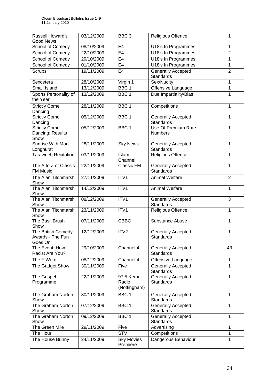| <b>Russell Howard's</b><br><b>Good News</b>       | 03/12/2009 | BBC <sub>3</sub>                    | <b>Religious Offence</b>                      | 1              |
|---------------------------------------------------|------------|-------------------------------------|-----------------------------------------------|----------------|
| School of Comedy                                  | 08/10/2009 | E <sub>4</sub>                      | U18's In Programmes                           | 1              |
| School of Comedy                                  | 22/10/2009 | E <sub>4</sub>                      | U18's In Programmes                           | $\overline{2}$ |
| School of Comedy                                  | 29/10/2009 | E <sub>4</sub>                      | U18's In Programmes                           | 1              |
| School of Comedy                                  | 01/10/2009 | E <sub>4</sub>                      | U18's In Programmes                           | $\mathbf{1}$   |
| <b>Scrubs</b>                                     | 19/11/2009 | E <sub>4</sub>                      | <b>Generally Accepted</b><br>Standards        | $\overline{2}$ |
| Sexcetera                                         | 28/10/2009 | Virgin 1                            | Sex/Nudity                                    | 1              |
| Small Island                                      | 13/12/2009 | BBC <sub>1</sub>                    | Offensive Language                            | $\mathbf{1}$   |
| Sports Personality of<br>the Year                 | 13/12/2009 | BBC <sub>1</sub>                    | Due Impartiality/Bias                         | $\mathbf{1}$   |
| <b>Strictly Come</b><br>Dancing                   | 28/11/2009 | BBC <sub>1</sub>                    | Competitions                                  | $\mathbf{1}$   |
| <b>Strictly Come</b><br>Dancing                   | 05/12/2009 | BBC <sub>1</sub>                    | <b>Generally Accepted</b><br>Standards        | $\mathbf{1}$   |
| <b>Strictly Come</b><br>Dancing: Results<br>Show  | 05/12/2009 | BBC <sub>1</sub>                    | Use Of Premium Rate<br><b>Numbers</b>         | 1              |
| <b>Sunrise With Mark</b><br>Longhurst             | 28/11/2009 | <b>Sky News</b>                     | <b>Generally Accepted</b><br>Standards        | 1              |
| <b>Taraweeh Recitation</b>                        | 03/11/2009 | Islam<br>Channel                    | <b>Religious Offence</b>                      | 1              |
| The A to Z of Classic<br><b>FM Music</b>          | 22/11/2009 | <b>Classic FM</b>                   | <b>Generally Accepted</b><br><b>Standards</b> | 1              |
| The Alan Titchmarsh<br>Show                       | 27/11/2009 | ITV <sub>1</sub>                    | <b>Animal Welfare</b>                         | $\overline{2}$ |
| The Alan Titchmarsh<br>Show                       | 14/12/2009 | ITV1                                | <b>Animal Welfare</b>                         | $\mathbf{1}$   |
| The Alan Titchmarsh<br>Show                       | 08/12/2009 | ITV1                                | <b>Generally Accepted</b><br>Standards        | 3              |
| The Alan Titchmarsh<br>Show                       | 23/11/2009 | ITV1                                | <b>Religious Offence</b>                      | 1              |
| The Basil Brush<br>Show                           | 07/11/2009 | <b>CBBC</b>                         | Substance Abuse                               | 1              |
| The British Comedy<br>Awards - The Fun<br>Goes On | 12/12/2009 | ITV2                                | <b>Generally Accepted</b><br>Standards        | 1              |
| The Event: How<br>Racist Are You?                 | 29/10/2009 | Channel 4                           | <b>Generally Accepted</b><br>Standards        | 43             |
| The F Word                                        | 08/12/2009 | Channel 4                           | Offensive Language                            | 1              |
| The Gadget Show                                   | 30/11/2009 | Five                                | <b>Generally Accepted</b><br><b>Standards</b> | 1              |
| The Gospel<br>Programme                           | 22/11/2009 | 97.5 Kemet<br>Radio<br>(Nottingham) | <b>Generally Accepted</b><br><b>Standards</b> | 1              |
| The Graham Norton<br>Show                         | 30/11/2009 | BBC <sub>1</sub>                    | <b>Generally Accepted</b><br>Standards        | 1              |
| The Graham Norton<br>Show                         | 07/12/2009 | BBC <sub>1</sub>                    | <b>Generally Accepted</b><br>Standards        | 1              |
| The Graham Norton<br>Show                         | 09/12/2009 | BBC <sub>1</sub>                    | <b>Generally Accepted</b><br>Standards        | $\mathbf{1}$   |
| The Green Mile                                    | 29/11/2009 | Five                                | Advertising                                   | 1              |
| The Hour                                          |            | <b>STV</b>                          | Competitions                                  | 1              |
| The House Bunny                                   | 24/11/2009 | <b>Sky Movies</b><br>Premiere       | Dangerous Behaviour                           | 1              |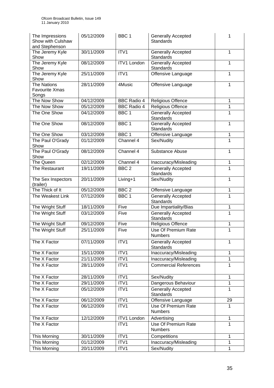| The Impressions<br>Show with Culshaw<br>and Stephenson | 05/12/2009 | BBC <sub>1</sub>   | <b>Generally Accepted</b><br><b>Standards</b> | 1            |
|--------------------------------------------------------|------------|--------------------|-----------------------------------------------|--------------|
| The Jeremy Kyle<br>Show                                | 30/11/2009 | ITV1               | <b>Generally Accepted</b><br>Standards        | $\mathbf{1}$ |
| The Jeremy Kyle<br>Show                                | 08/12/2009 | <b>ITV1 London</b> | <b>Generally Accepted</b><br><b>Standards</b> | 1            |
| The Jeremy Kyle<br>Show                                | 25/11/2009 | ITV1               | Offensive Language                            | 1            |
| <b>The Nations</b><br>Favourite Xmas<br>Songs          | 28/11/2009 | 4Music             | Offensive Language                            | 1            |
| The Now Show                                           | 04/12/2009 | <b>BBC Radio 4</b> | <b>Religious Offence</b>                      | 1            |
| The Now Show                                           | 05/12/2009 | <b>BBC Radio 4</b> | <b>Religious Offence</b>                      | 1            |
| The One Show                                           | 04/12/2009 | BBC <sub>1</sub>   | <b>Generally Accepted</b><br>Standards        | 1            |
| The One Show                                           | 08/12/2009 | BBC <sub>1</sub>   | <b>Generally Accepted</b><br><b>Standards</b> | 1            |
| The One Show                                           | 03/12/2009 | BBC <sub>1</sub>   | Offensive Language                            | 1            |
| The Paul O'Grady<br>Show                               | 01/12/2009 | Channel 4          | Sex/Nudity                                    | 1            |
| The Paul O'Grady<br>Show                               | 08/12/2009 | Channel 4          | Substance Abuse                               | 1            |
| The Queen                                              | 02/12/2009 | Channel 4          | Inaccuracy/Misleading                         | 1            |
| The Restaurant                                         | 19/11/2009 | BBC <sub>2</sub>   | <b>Generally Accepted</b><br><b>Standards</b> | 1            |
| The Sex Inspectors<br>(trailer)                        | 20/11/2009 | Living+1           | Sex/Nudity                                    | 1            |
| The Thick of It                                        | 05/12/2009 | BBC <sub>2</sub>   | Offensive Language                            | 1            |
| The Weakest Link                                       | 07/12/2009 | BBC <sub>1</sub>   | <b>Generally Accepted</b><br><b>Standards</b> | 1            |
| The Wright Stuff                                       | 18/11/2009 | Five               | Due Impartiality/Bias                         | 1            |
| The Wright Stuff                                       | 03/12/2009 | Five               | <b>Generally Accepted</b><br><b>Standards</b> | 1            |
| The Wright Stuff                                       | 09/12/2009 | Five               | Religious Offence                             | 1            |
| The Wright Stuff                                       | 25/11/2009 | Five               | Use Of Premium Rate<br><b>Numbers</b>         | $\mathbf 1$  |
| The X Factor                                           | 07/11/2009 | ITV <sub>1</sub>   | <b>Generally Accepted</b><br>Standards        | 1            |
| The X Factor                                           | 15/11/2009 | ITV1               | Inaccuracy/Misleading                         | 1            |
| The X Factor                                           | 21/11/2009 | ITV1               | Inaccuracy/Misleading                         | 1            |
| The X Factor                                           | 28/11/2009 | ITV1               | <b>Commercial References</b>                  | 1            |
| The X Factor                                           | 28/11/2009 | ITV1               | Sex/Nudity                                    | 1            |
| The X Factor                                           | 29/11/2009 | ITV1               | Dangerous Behaviour                           | 1            |
| The X Factor                                           | 05/12/2009 | ITV1               | <b>Generally Accepted</b><br><b>Standards</b> | 1            |
| The X Factor                                           | 06/12/2009 | ITV1               | Offensive Language                            | 29           |
| The X Factor                                           | 06/12/2009 | ITV1               | Use Of Premium Rate<br><b>Numbers</b>         | $\mathbf{1}$ |
| The X Factor                                           | 12/12/2009 | <b>ITV1 London</b> | Advertising                                   | $\mathbf 1$  |
| The X Factor                                           |            | ITV1               | <b>Use Of Premium Rate</b><br><b>Numbers</b>  | $\mathbf{1}$ |
| This Morning                                           | 30/11/2009 | ITV1               | Competitions                                  | 1            |
| This Morning                                           | 01/12/2009 | ITV1               | Inaccuracy/Misleading                         | $\mathbf{1}$ |
| This Morning                                           | 20/11/2009 | ITV1               | Sex/Nudity                                    | $\mathbf{1}$ |